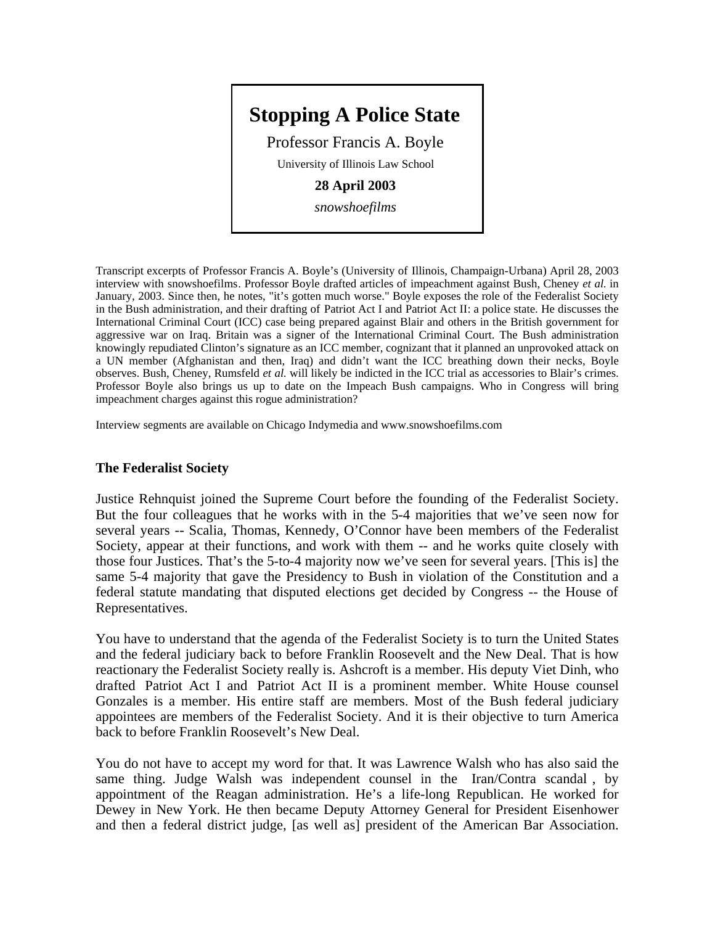

Transcript excerpts of Professor Francis A. Boyle's (University of Illinois, Champaign-Urbana) April 28, 2003 interview with snowshoefilms. Professor Boyle drafted articles of impeachment against Bush, Cheney *et al.* in January, 2003. Since then, he notes, "it's gotten much worse." Boyle exposes the role of the Federalist Society in the Bush administration, and their drafting of Patriot Act I and Patriot Act II: a police state. He discusses the International Criminal Court (ICC) case being prepared against Blair and others in the British government for aggressive war on Iraq. Britain was a signer of the International Criminal Court. The Bush administration knowingly repudiated Clinton's signature as an ICC member, cognizant that it planned an unprovoked attack on a UN member (Afghanistan and then, Iraq) and didn't want the ICC breathing down their necks, Boyle observes. Bush, Cheney, Rumsfeld *et al.* will likely be indicted in the ICC trial as accessories to Blair's crimes. Professor Boyle also brings us up to date on the Impeach Bush campaigns. Who in Congress will bring impeachment charges against this rogue administration?

Interview segments are available on Chicago Indymedia and www.snowshoefilms.com

## **The Federalist Society**

Justice Rehnquist joined the Supreme Court before the founding of the Federalist Society. But the four colleagues that he works with in the 5-4 majorities that we've seen now for several years -- Scalia, Thomas, Kennedy, O'Connor have been members of the Federalist Society, appear at their functions, and work with them -- and he works quite closely with those four Justices. That's the 5-to-4 majority now we've seen for several years. [This is] the same 5-4 majority that gave the Presidency to Bush in violation of the Constitution and a federal statute mandating that disputed elections get decided by Congress -- the House of Representatives.

You have to understand that the agenda of the Federalist Society is to turn the United States and the federal judiciary back to before Franklin Roosevelt and the New Deal. That is how reactionary the Federalist Society really is. Ashcroft is a member. His deputy Viet Dinh, who drafted Patriot Act I and Patriot Act II is a prominent member. White House counsel Gonzales is a member. His entire staff are members. Most of the Bush federal judiciary appointees are members of the Federalist Society. And it is their objective to turn America back to before Franklin Roosevelt's New Deal.

You do not have to accept my word for that. It was Lawrence Walsh who has also said the same thing. Judge Walsh was independent counsel in the Iran/Contra scandal , by appointment of the Reagan administration. He's a life-long Republican. He worked for Dewey in New York. He then became Deputy Attorney General for President Eisenhower and then a federal district judge, [as well as] president of the American Bar Association.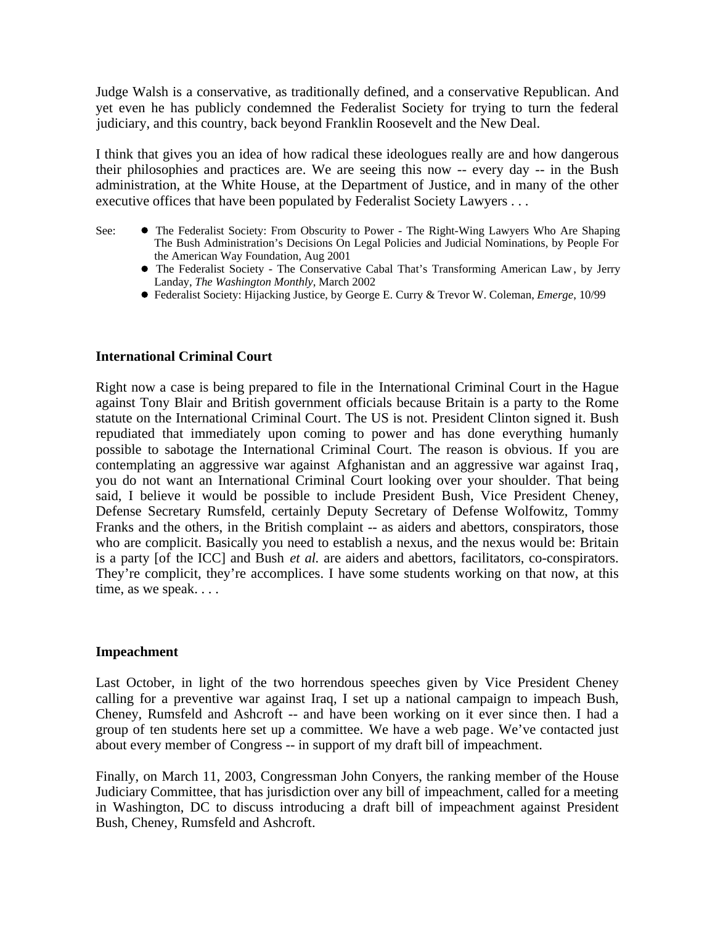Judge Walsh is a conservative, as traditionally defined, and a conservative Republican. And yet even he has publicly condemned the Federalist Society for trying to turn the federal judiciary, and this country, back beyond Franklin Roosevelt and the New Deal.

I think that gives you an idea of how radical these ideologues really are and how dangerous their philosophies and practices are. We are seeing this now -- every day -- in the Bush administration, at the White House, at the Department of Justice, and in many of the other executive offices that have been populated by Federalist Society Lawyers . . .

- See: The Federalist Society: From Obscurity to Power The Right-Wing Lawyers Who Are Shaping The Bush Administration's Decisions On Legal Policies and Judicial Nominations, by People For the American Way Foundation, Aug 2001
	- The Federalist Society The Conservative Cabal That's Transforming American Law , by Jerry Landay, *The Washington Monthly*, March 2002
	- Federalist Society: Hijacking Justice, by George E. Curry & Trevor W. Coleman, *Emerge*, 10/99

## **International Criminal Court**

Right now a case is being prepared to file in the International Criminal Court in the Hague against Tony Blair and British government officials because Britain is a party to the Rome statute on the International Criminal Court. The US is not. President Clinton signed it. Bush repudiated that immediately upon coming to power and has done everything humanly possible to sabotage the International Criminal Court. The reason is obvious. If you are contemplating an aggressive war against Afghanistan and an aggressive war against Iraq, you do not want an International Criminal Court looking over your shoulder. That being said, I believe it would be possible to include President Bush, Vice President Cheney, Defense Secretary Rumsfeld, certainly Deputy Secretary of Defense Wolfowitz, Tommy Franks and the others, in the British complaint -- as aiders and abettors, conspirators, those who are complicit. Basically you need to establish a nexus, and the nexus would be: Britain is a party [of the ICC] and Bush *et al.* are aiders and abettors, facilitators, co-conspirators. They're complicit, they're accomplices. I have some students working on that now, at this time, as we speak. . . .

## **Impeachment**

Last October, in light of the two horrendous speeches given by Vice President Cheney calling for a preventive war against Iraq, I set up a national campaign to impeach Bush, Cheney, Rumsfeld and Ashcroft -- and have been working on it ever since then. I had a group of ten students here set up a committee. We have a web page. We've contacted just about every member of Congress -- in support of my draft bill of impeachment.

Finally, on March 11, 2003, Congressman John Conyers, the ranking member of the House Judiciary Committee, that has jurisdiction over any bill of impeachment, called for a meeting in Washington, DC to discuss introducing a draft bill of impeachment against President Bush, Cheney, Rumsfeld and Ashcroft.